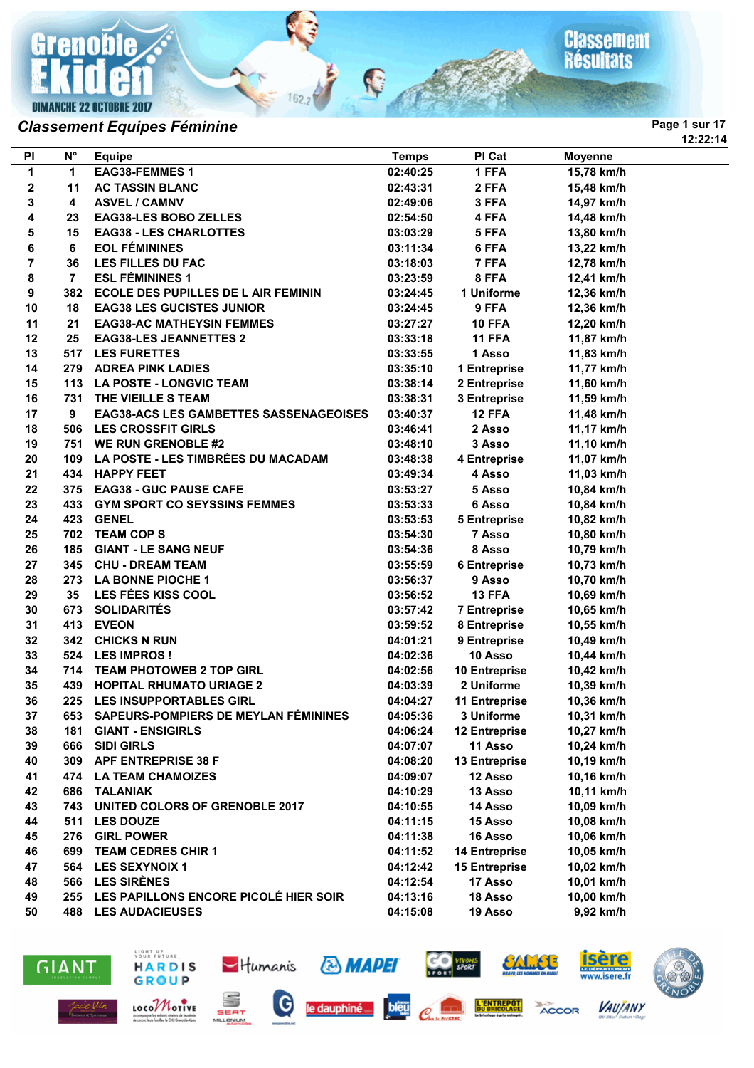**Grenoble DIMANCHE 22 OCTOBRE 2017** 

## **Classement**<br>Résultats

**12:22:14**

## **Classement Equipes Féminine Page 1 sur 17 Page 1 sur 17**

| PI | $\mathsf{N}^\circ$ | <b>Equipe</b>                                 | <b>Temps</b> | PI Cat               | <b>Moyenne</b> |  |
|----|--------------------|-----------------------------------------------|--------------|----------------------|----------------|--|
| 1  | 1                  | <b>EAG38-FEMMES 1</b>                         | 02:40:25     | 1 FFA                | 15,78 km/h     |  |
| 2  | 11                 | <b>AC TASSIN BLANC</b>                        | 02:43:31     | 2 FFA                | 15,48 km/h     |  |
| 3  | 4                  | <b>ASVEL / CAMNV</b>                          | 02:49:06     | 3 FFA                | 14,97 km/h     |  |
| 4  | 23                 | <b>EAG38-LES BOBO ZELLES</b>                  | 02:54:50     | 4 FFA                | 14,48 km/h     |  |
| 5  | 15                 | <b>EAG38 - LES CHARLOTTES</b>                 | 03:03:29     | 5 FFA                | 13,80 km/h     |  |
| 6  | 6                  | <b>EOL FÉMININES</b>                          | 03:11:34     | 6 FFA                | 13,22 km/h     |  |
| 7  | 36                 | <b>LES FILLES DU FAC</b>                      | 03:18:03     | 7 FFA                | 12,78 km/h     |  |
| 8  | 7                  | <b>ESL FÉMININES 1</b>                        | 03:23:59     | 8 FFA                | 12,41 km/h     |  |
| 9  | 382                | <b>ECOLE DES PUPILLES DE L AIR FEMININ</b>    | 03:24:45     | 1 Uniforme           | 12,36 km/h     |  |
| 10 | 18                 | <b>EAG38 LES GUCISTES JUNIOR</b>              | 03:24:45     | 9 FFA                | 12,36 km/h     |  |
| 11 | 21                 | <b>EAG38-AC MATHEYSIN FEMMES</b>              | 03:27:27     | <b>10 FFA</b>        | 12,20 km/h     |  |
| 12 | 25                 | <b>EAG38-LES JEANNETTES 2</b>                 | 03:33:18     | 11 FFA               | 11,87 km/h     |  |
| 13 | 517                | <b>LES FURETTES</b>                           | 03:33:55     | 1 Asso               | 11,83 km/h     |  |
| 14 | 279                | <b>ADREA PINK LADIES</b>                      | 03:35:10     | 1 Entreprise         | 11,77 km/h     |  |
| 15 | 113                | <b>LA POSTE - LONGVIC TEAM</b>                | 03:38:14     | 2 Entreprise         | 11,60 km/h     |  |
| 16 | 731                | THE VIEILLE S TEAM                            | 03:38:31     | 3 Entreprise         | 11,59 km/h     |  |
| 17 | 9                  | <b>EAG38-ACS LES GAMBETTES SASSENAGEOISES</b> | 03:40:37     | 12 FFA               | 11,48 km/h     |  |
| 18 | 506                | <b>LES CROSSFIT GIRLS</b>                     | 03:46:41     | 2 Asso               | 11,17 km/h     |  |
| 19 | 751                | <b>WE RUN GRENOBLE #2</b>                     | 03:48:10     | 3 Asso               | 11,10 km/h     |  |
| 20 | 109                | LA POSTE - LES TIMBRÉES DU MACADAM            | 03:48:38     | 4 Entreprise         | 11,07 km/h     |  |
| 21 | 434                | <b>HAPPY FEET</b>                             | 03:49:34     | 4 Asso               | 11,03 km/h     |  |
| 22 | 375                | <b>EAG38 - GUC PAUSE CAFE</b>                 | 03:53:27     | 5 Asso               | 10,84 km/h     |  |
| 23 | 433                | <b>GYM SPORT CO SEYSSINS FEMMES</b>           | 03:53:33     | 6 Asso               | 10,84 km/h     |  |
| 24 | 423                | <b>GENEL</b>                                  | 03:53:53     | <b>5 Entreprise</b>  | 10,82 km/h     |  |
| 25 | 702                | <b>TEAM COPS</b>                              | 03:54:30     | 7 Asso               | 10,80 km/h     |  |
| 26 | 185                | <b>GIANT - LE SANG NEUF</b>                   | 03:54:36     | 8 Asso               | 10,79 km/h     |  |
| 27 | 345                | <b>CHU - DREAM TEAM</b>                       | 03:55:59     | <b>6 Entreprise</b>  | 10,73 km/h     |  |
| 28 | 273                | <b>LA BONNE PIOCHE 1</b>                      | 03:56:37     | 9 Asso               | 10,70 km/h     |  |
| 29 | 35                 | LES FÉES KISS COOL                            | 03:56:52     | 13 FFA               | 10,69 km/h     |  |
| 30 | 673                | <b>SOLIDARITÉS</b>                            | 03:57:42     | <b>7 Entreprise</b>  | 10,65 km/h     |  |
| 31 | 413                | <b>EVEON</b>                                  | 03:59:52     | 8 Entreprise         | 10,55 km/h     |  |
| 32 | 342                | <b>CHICKS N RUN</b>                           | 04:01:21     | 9 Entreprise         | 10,49 km/h     |  |
| 33 | 524                | <b>LES IMPROS!</b>                            | 04:02:36     | 10 Asso              | 10,44 km/h     |  |
| 34 | 714                | <b>TEAM PHOTOWEB 2 TOP GIRL</b>               | 04:02:56     | <b>10 Entreprise</b> | 10,42 km/h     |  |
| 35 | 439                | <b>HOPITAL RHUMATO URIAGE 2</b>               | 04:03:39     | 2 Uniforme           | 10,39 km/h     |  |
| 36 | 225                | <b>LES INSUPPORTABLES GIRL</b>                | 04:04:27     | <b>11 Entreprise</b> | 10,36 km/h     |  |
| 37 | 653                | SAPEURS-POMPIERS DE MEYLAN FÉMININES          | 04:05:36     | 3 Uniforme           | 10,31 km/h     |  |
| 38 | 181                | <b>GIANT - ENSIGIRLS</b>                      | 04:06:24     | <b>12 Entreprise</b> | 10,27 km/h     |  |
| 39 | 666                | <b>SIDI GIRLS</b>                             | 04:07:07     | 11 Asso              | 10,24 km/h     |  |
| 40 | 309                | <b>APF ENTREPRISE 38 F</b>                    | 04:08:20     | <b>13 Entreprise</b> | 10,19 km/h     |  |
| 41 | 474                | <b>LA TEAM CHAMOIZES</b>                      | 04:09:07     | 12 Asso              | 10,16 km/h     |  |
| 42 | 686                | <b>TALANIAK</b>                               | 04:10:29     | 13 Asso              | 10,11 km/h     |  |
| 43 | 743                | <b>UNITED COLORS OF GRENOBLE 2017</b>         | 04:10:55     | 14 Asso              | 10,09 km/h     |  |
| 44 | 511                | <b>LES DOUZE</b>                              | 04:11:15     | <b>15 Asso</b>       | 10,08 km/h     |  |
| 45 | 276                | <b>GIRL POWER</b>                             | 04:11:38     | 16 Asso              | 10,06 km/h     |  |
| 46 | 699                | <b>TEAM CEDRES CHIR 1</b>                     | 04:11:52     | <b>14 Entreprise</b> | 10,05 km/h     |  |
| 47 | 564                | <b>LES SEXYNOIX 1</b>                         | 04:12:42     | <b>15 Entreprise</b> | 10,02 km/h     |  |
| 48 | 566                | <b>LES SIRÈNES</b>                            | 04:12:54     | 17 Asso              | 10,01 km/h     |  |
| 49 | 255                | LES PAPILLONS ENCORE PICOLÉ HIER SOIR         | 04:13:16     | 18 Asso              | 10,00 km/h     |  |
| 50 |                    | <b>488 LES AUDACIEUSES</b>                    | 04:15:08     | 19 Asso              | 9,92 km/h      |  |

R

 $162.2$ 





SEAT MILLENIUM

LOCOMOTIVE



bleu





**VAUJANY** 

ACCOR